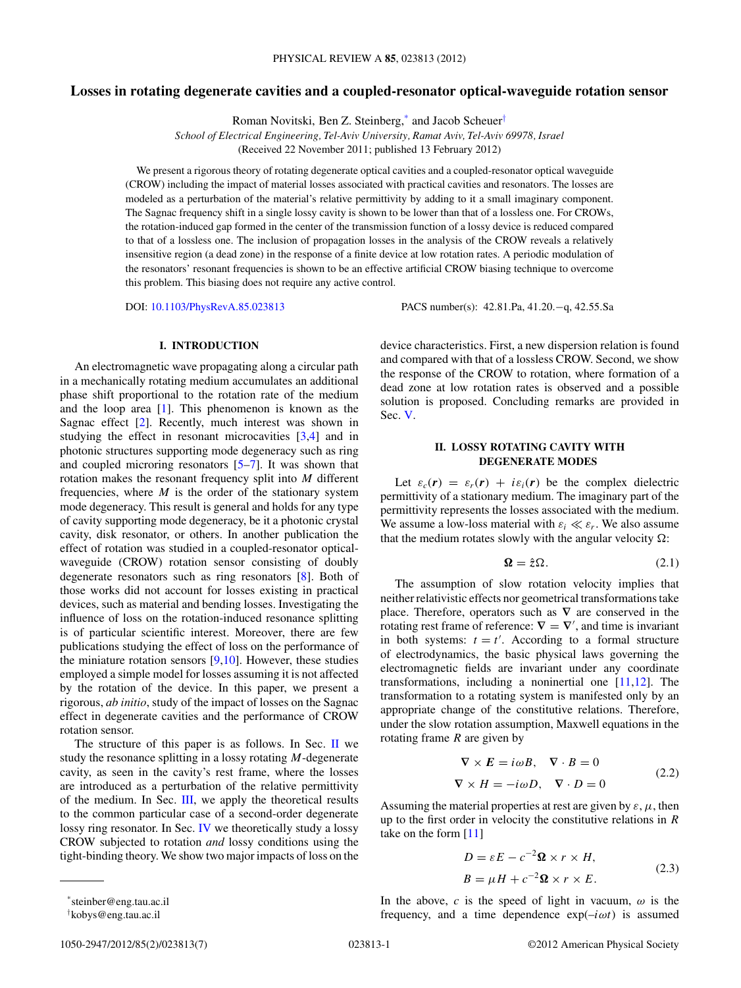# <span id="page-0-0"></span>**Losses in rotating degenerate cavities and a coupled-resonator optical-waveguide rotation sensor**

Roman Novitski, Ben Z. Steinberg,\* and Jacob Scheuer†

*School of Electrical Engineering, Tel-Aviv University, Ramat Aviv, Tel-Aviv 69978, Israel*

(Received 22 November 2011; published 13 February 2012)

We present a rigorous theory of rotating degenerate optical cavities and a coupled-resonator optical waveguide (CROW) including the impact of material losses associated with practical cavities and resonators. The losses are modeled as a perturbation of the material's relative permittivity by adding to it a small imaginary component. The Sagnac frequency shift in a single lossy cavity is shown to be lower than that of a lossless one. For CROWs, the rotation-induced gap formed in the center of the transmission function of a lossy device is reduced compared to that of a lossless one. The inclusion of propagation losses in the analysis of the CROW reveals a relatively insensitive region (a dead zone) in the response of a finite device at low rotation rates. A periodic modulation of the resonators' resonant frequencies is shown to be an effective artificial CROW biasing technique to overcome this problem. This biasing does not require any active control.

DOI: [10.1103/PhysRevA.85.023813](http://dx.doi.org/10.1103/PhysRevA.85.023813) PACS number(s): 42*.*81*.*Pa, 41*.*20*.*−q, 42*.*55*.*Sa

## **I. INTRODUCTION**

An electromagnetic wave propagating along a circular path in a mechanically rotating medium accumulates an additional phase shift proportional to the rotation rate of the medium and the loop area [\[1\]](#page-6-0). This phenomenon is known as the Sagnac effect [\[2\]](#page-6-0). Recently, much interest was shown in studying the effect in resonant microcavities [\[3,4\]](#page-6-0) and in photonic structures supporting mode degeneracy such as ring and coupled microring resonators [\[5–7\]](#page-6-0). It was shown that rotation makes the resonant frequency split into *M* different frequencies, where  $M$  is the order of the stationary system mode degeneracy. This result is general and holds for any type of cavity supporting mode degeneracy, be it a photonic crystal cavity, disk resonator, or others. In another publication the effect of rotation was studied in a coupled-resonator opticalwaveguide (CROW) rotation sensor consisting of doubly degenerate resonators such as ring resonators [\[8\]](#page-6-0). Both of those works did not account for losses existing in practical devices, such as material and bending losses. Investigating the influence of loss on the rotation-induced resonance splitting is of particular scientific interest. Moreover, there are few publications studying the effect of loss on the performance of the miniature rotation sensors  $[9,10]$ . However, these studies employed a simple model for losses assuming it is not affected by the rotation of the device. In this paper, we present a rigorous, *ab initio*, study of the impact of losses on the Sagnac effect in degenerate cavities and the performance of CROW rotation sensor.

The structure of this paper is as follows. In Sec.  $\mathbf{II}$  we study the resonance splitting in a lossy rotating *M*-degenerate cavity, as seen in the cavity's rest frame, where the losses are introduced as a perturbation of the relative permittivity of the medium. In Sec. [III,](#page-2-0) we apply the theoretical results to the common particular case of a second-order degenerate lossy ring resonator. In Sec. [IV](#page-3-0) we theoretically study a lossy CROW subjected to rotation *and* lossy conditions using the tight-binding theory. We show two major impacts of loss on the

device characteristics. First, a new dispersion relation is found and compared with that of a lossless CROW. Second, we show the response of the CROW to rotation, where formation of a dead zone at low rotation rates is observed and a possible solution is proposed. Concluding remarks are provided in Sec. [V.](#page-6-0)

### **II. LOSSY ROTATING CAVITY WITH DEGENERATE MODES**

Let  $\varepsilon_c(\mathbf{r}) = \varepsilon_r(\mathbf{r}) + i\varepsilon_i(\mathbf{r})$  be the complex dielectric permittivity of a stationary medium. The imaginary part of the permittivity represents the losses associated with the medium. We assume a low-loss material with  $\varepsilon_i \ll \varepsilon_r$ . We also assume that the medium rotates slowly with the angular velocity  $\Omega$ :

$$
\Omega = \hat{z}\Omega. \tag{2.1}
$$

The assumption of slow rotation velocity implies that neither relativistic effects nor geometrical transformations take place. Therefore, operators such as **∇** are conserved in the rotating rest frame of reference:  $\nabla = \nabla'$ , and time is invariant in both systems:  $t = t'$ . According to a formal structure of electrodynamics, the basic physical laws governing the electromagnetic fields are invariant under any coordinate transformations, including a noninertial one [\[11,12\]](#page-6-0). The transformation to a rotating system is manifested only by an appropriate change of the constitutive relations. Therefore, under the slow rotation assumption, Maxwell equations in the rotating frame *R* are given by

$$
\nabla \times \mathbf{E} = i\omega B, \quad \nabla \cdot B = 0
$$
  

$$
\nabla \times H = -i\omega D, \quad \nabla \cdot D = 0
$$
 (2.2)

Assuming the material properties at rest are given by  $\varepsilon$ ,  $\mu$ , then up to the first order in velocity the constitutive relations in *R* take on the form [\[11\]](#page-6-0)

$$
D = \varepsilon E - c^{-2} \Omega \times r \times H,
$$
  
\n
$$
B = \mu H + c^{-2} \Omega \times r \times E.
$$
 (2.3)

In the above,  $c$  is the speed of light in vacuum,  $\omega$  is the frequency, and a time dependence exp(–*iωt*) is assumed

<sup>\*</sup>steinber@eng.tau.ac.il † kobys@eng.tau.ac.il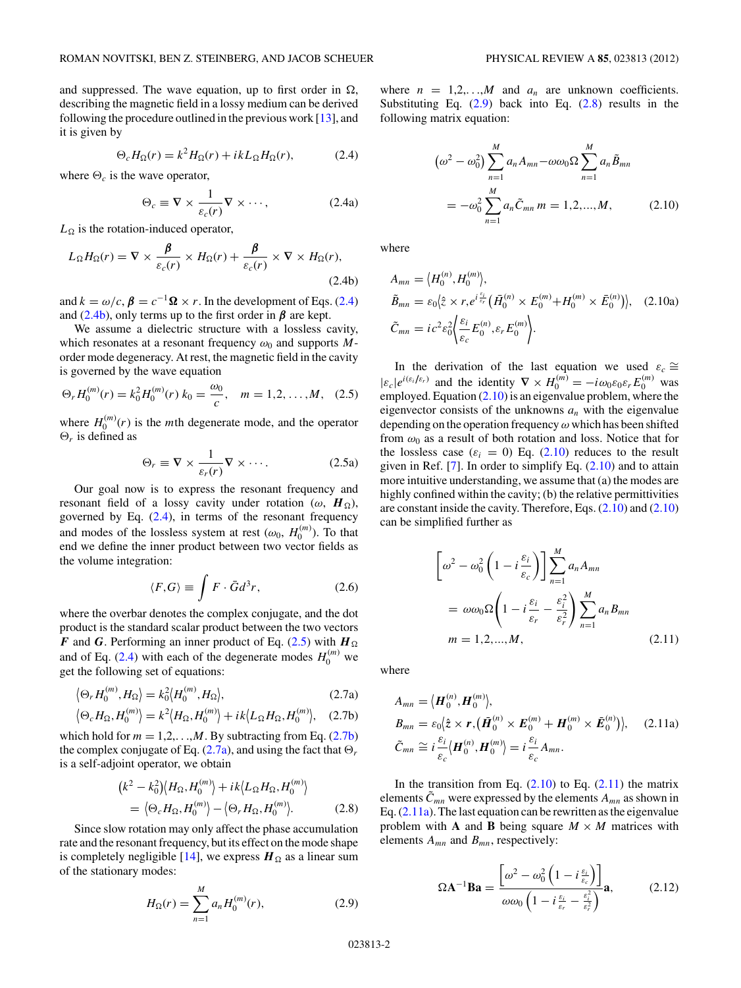<span id="page-1-0"></span>and suppressed. The wave equation, up to first order in  $\Omega$ , describing the magnetic field in a lossy medium can be derived following the procedure outlined in the previous work  $[13]$ , and it is given by

$$
\Theta_c H_{\Omega}(r) = k^2 H_{\Omega}(r) + ikL_{\Omega} H_{\Omega}(r),\tag{2.4}
$$

where  $\Theta_c$  is the wave operator,

$$
\Theta_c \equiv \nabla \times \frac{1}{\varepsilon_c(r)} \nabla \times \cdots,
$$
 (2.4a)

 $L_{\Omega}$  is the rotation-induced operator,

$$
L_{\Omega}H_{\Omega}(r) = \nabla \times \frac{\beta}{\varepsilon_c(r)} \times H_{\Omega}(r) + \frac{\beta}{\varepsilon_c(r)} \times \nabla \times H_{\Omega}(r),
$$
\n(2.4b)

and  $k = \omega/c$ ,  $\beta = c^{-1} \Omega \times r$ . In the development of Eqs. (2.4) and  $(2.4b)$ , only terms up to the first order in  $\beta$  are kept.

We assume a dielectric structure with a lossless cavity, which resonates at a resonant frequency  $\omega_0$  and supports  $M$ order mode degeneracy. At rest, the magnetic field in the cavity is governed by the wave equation

$$
\Theta_r H_0^{(m)}(r) = k_0^2 H_0^{(m)}(r) k_0 = \frac{\omega_0}{c}, \quad m = 1, 2, ..., M, \quad (2.5)
$$

where  $H_0^{(m)}(r)$  is the *m*th degenerate mode, and the operator  $\Theta_r$  is defined as

$$
\Theta_r \equiv \nabla \times \frac{1}{\varepsilon_r(r)} \nabla \times \cdots. \tag{2.5a}
$$

Our goal now is to express the resonant frequency and resonant field of a lossy cavity under rotation ( $\omega$ ,  $H_{\Omega}$ ), governed by Eq. (2.4), in terms of the resonant frequency and modes of the lossless system at rest  $(\omega_0, H_0^{(m)})$ . To that end we define the inner product between two vector fields as the volume integration:

$$
\langle F, G \rangle \equiv \int F \cdot \bar{G} d^3 r,\tag{2.6}
$$

where the overbar denotes the complex conjugate, and the dot product is the standard scalar product between the two vectors *F* and *G*. Performing an inner product of Eq. (2.5) with  $H_{\Omega}$ and of Eq.  $(2.4)$  with each of the degenerate modes  $H_0^{(m)}$  we get the following set of equations:

$$
\langle \Theta_r H_0^{(m)}, H_\Omega \rangle = k_0^2 \langle H_0^{(m)}, H_\Omega \rangle, \tag{2.7a}
$$

$$
\langle \Theta_c H_{\Omega}, H_0^{(m)} \rangle = k^2 \langle H_{\Omega}, H_0^{(m)} \rangle + ik \langle L_{\Omega} H_{\Omega}, H_0^{(m)} \rangle, \quad (2.7b)
$$

which hold for  $m = 1, 2, \ldots, M$ . By subtracting from Eq. (2.7b) the complex conjugate of Eq.  $(2.7a)$ , and using the fact that  $\Theta_r$ is a self-adjoint operator, we obtain

$$
(k2 - k02)(H\Omega, H0(m)) + ik\langle L\Omega H\Omega, H0(m)\rangle = \langle \Thetac H\Omega, H0(m) \rangle - \langle \Thetar H\Omega, H0(m) \rangle.
$$
 (2.8)

Since slow rotation may only affect the phase accumulation rate and the resonant frequency, but its effect on the mode shape is completely negligible [\[14\]](#page-6-0), we express  $H_{\Omega}$  as a linear sum of the stationary modes:

$$
H_{\Omega}(r) = \sum_{n=1}^{M} a_n H_0^{(m)}(r),
$$
 (2.9)

where  $n = 1,2,...,M$  and  $a_n$  are unknown coefficients. Substituting Eq.  $(2.9)$  back into Eq.  $(2.8)$  results in the following matrix equation:

$$
(\omega^2 - \omega_0^2) \sum_{n=1}^{M} a_n A_{mn} - \omega \omega_0 \Omega \sum_{n=1}^{M} a_n \tilde{B}_{mn}
$$
  
=  $-\omega_0^2 \sum_{n=1}^{M} a_n \tilde{C}_{mn} m = 1, 2, ..., M,$  (2.10)

where

$$
A_{mn} = \langle H_0^{(n)}, H_0^{(m)} \rangle, \n\tilde{B}_{mn} = \varepsilon_0 \langle \hat{z} \times r, e^{i \frac{\varepsilon_i}{\varepsilon_r}} (\bar{H}_0^{(n)} \times E_0^{(m)} + H_0^{(m)} \times \bar{E}_0^{(n)}) \rangle, \quad (2.10a) \n\tilde{C}_{mn} = i c^2 \varepsilon_0^2 \Big\langle \frac{\varepsilon_i}{\varepsilon_c} E_0^{(n)}, \varepsilon_r E_0^{(m)} \Big\rangle.
$$

In the derivation of the last equation we used  $\varepsilon_c$  ≃  $|\varepsilon_c|e^{i(\varepsilon_i/\varepsilon_r)}$  and the identity  $\nabla \times H_0^{(m)} = -i\omega_0 \varepsilon_0 \varepsilon_r E_0^{(m)}$  was employed. Equation (2.10) is an eigenvalue problem, where the eigenvector consists of the unknowns  $a_n$  with the eigenvalue depending on the operation frequency*ω* which has been shifted from *ω*<sup>0</sup> as a result of both rotation and loss. Notice that for the lossless case  $(\varepsilon_i = 0)$  Eq. (2.10) reduces to the result given in Ref.  $[7]$ . In order to simplify Eq.  $(2.10)$  and to attain more intuitive understanding, we assume that (a) the modes are highly confined within the cavity; (b) the relative permittivities are constant inside the cavity. Therefore, Eqs. (2.10) and (2.10) can be simplified further as

$$
\left[\omega^2 - \omega_0^2 \left(1 - i\frac{\varepsilon_i}{\varepsilon_c}\right)\right] \sum_{n=1}^M a_n A_{mn}
$$
  
=  $\omega \omega_0 \Omega \left(1 - i\frac{\varepsilon_i}{\varepsilon_r} - \frac{\varepsilon_i^2}{\varepsilon_r^2}\right) \sum_{n=1}^M a_n B_{mn}$   
 $m = 1, 2, ..., M,$  (2.11)

where

$$
A_{mn} = \langle \boldsymbol{H}_0^{(n)}, \boldsymbol{H}_0^{(m)} \rangle,
$$
  
\n
$$
B_{mn} = \varepsilon_0 \langle \hat{z} \times \boldsymbol{r}, (\tilde{\boldsymbol{H}}_0^{(n)} \times \boldsymbol{E}_0^{(m)} + \boldsymbol{H}_0^{(m)} \times \tilde{\boldsymbol{E}}_0^{(n)}) \rangle, \quad (2.11a)
$$
  
\n
$$
\tilde{C}_{mn} \cong i \frac{\varepsilon_i}{\varepsilon_c} \langle \boldsymbol{H}_0^{(n)}, \boldsymbol{H}_0^{(m)} \rangle = i \frac{\varepsilon_i}{\varepsilon_c} A_{mn}.
$$

In the transition from Eq.  $(2.10)$  to Eq.  $(2.11)$  the matrix elements  $\tilde{C}_{mn}$  were expressed by the elements  $A_{mn}$  as shown in Eq. (2.11a). The last equation can be rewritten as the eigenvalue problem with **A** and **B** being square  $M \times M$  matrices with elements *Amn* and *Bmn*, respectively:

$$
\Omega \mathbf{A}^{-1} \mathbf{B} \mathbf{a} = \frac{\left[\omega^2 - \omega_0^2 \left(1 - i \frac{\varepsilon_i}{\varepsilon_c}\right)\right]}{\omega \omega_0 \left(1 - i \frac{\varepsilon_i}{\varepsilon_r} - \frac{\varepsilon_i^2}{\varepsilon_r^2}\right)} \mathbf{a},\tag{2.12}
$$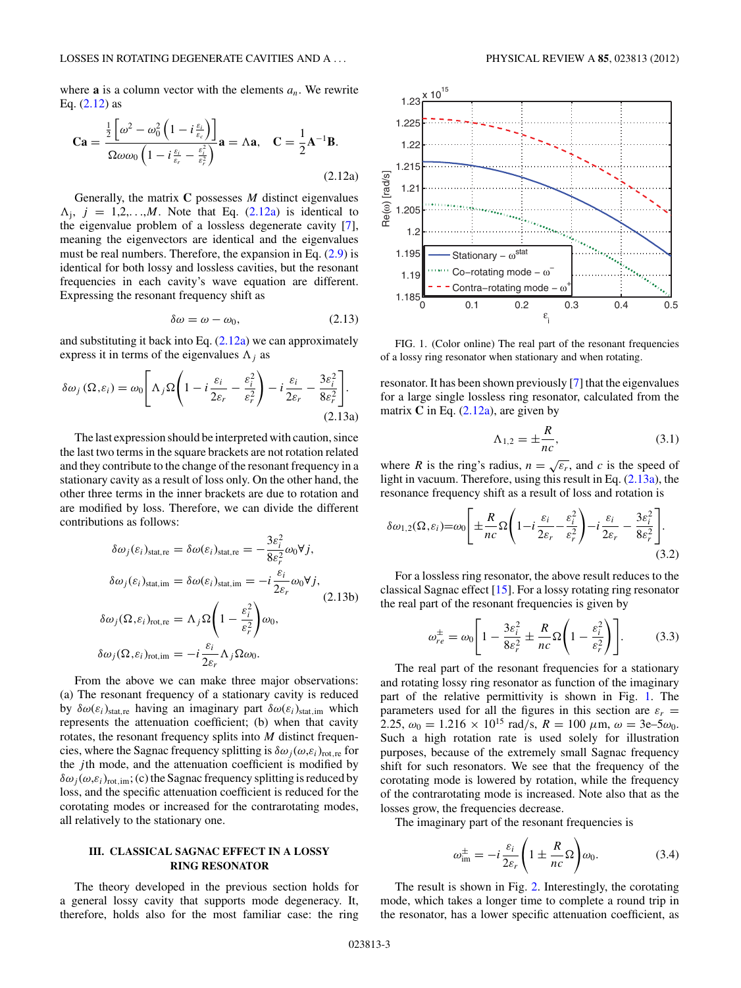<span id="page-2-0"></span>where **a** is a column vector with the elements  $a_n$ . We rewrite Eq. [\(2.12\)](#page-1-0) as

$$
\mathbf{Ca} = \frac{\frac{1}{2} \left[ \omega^2 - \omega_0^2 \left( 1 - i \frac{\varepsilon_i}{\varepsilon_c} \right) \right]}{\Omega \omega \omega_0 \left( 1 - i \frac{\varepsilon_i}{\varepsilon_r} - \frac{\varepsilon_i^2}{\varepsilon_r^2} \right)} \mathbf{a} = \Lambda \mathbf{a}, \quad \mathbf{C} = \frac{1}{2} \mathbf{A}^{-1} \mathbf{B}.
$$
\n(2.12a)

Generally, the matrix **C** possesses *M* distinct eigenvalues  $\Lambda_i$ ,  $j = 1, 2, \ldots, M$ . Note that Eq. (2.12a) is identical to the eigenvalue problem of a lossless degenerate cavity [\[7\]](#page-6-0), meaning the eigenvectors are identical and the eigenvalues must be real numbers. Therefore, the expansion in Eq. [\(2.9\)](#page-1-0) is identical for both lossy and lossless cavities, but the resonant frequencies in each cavity's wave equation are different. Expressing the resonant frequency shift as

$$
\delta \omega = \omega - \omega_0, \tag{2.13}
$$

and substituting it back into Eq.  $(2.12a)$  we can approximately express it in terms of the eigenvalues  $\Lambda_i$  as

$$
\delta \omega_j(\Omega, \varepsilon_i) = \omega_0 \left[ \Lambda_j \Omega \left( 1 - i \frac{\varepsilon_i}{2\varepsilon_r} - \frac{\varepsilon_i^2}{\varepsilon_r^2} \right) - i \frac{\varepsilon_i}{2\varepsilon_r} - \frac{3\varepsilon_i^2}{8\varepsilon_r^2} \right].
$$
\n(2.13a)

The last expression should be interpreted with caution, since the last two terms in the square brackets are not rotation related and they contribute to the change of the resonant frequency in a stationary cavity as a result of loss only. On the other hand, the other three terms in the inner brackets are due to rotation and are modified by loss. Therefore, we can divide the different contributions as follows:

$$
\delta \omega_j(\varepsilon_i)_{\text{stat,re}} = \delta \omega(\varepsilon_i)_{\text{stat,re}} = -\frac{3\varepsilon_i^2}{8\varepsilon_r^2} \omega_0 \forall j,
$$
  
\n
$$
\delta \omega_j(\varepsilon_i)_{\text{stat,im}} = \delta \omega(\varepsilon_i)_{\text{stat,im}} = -i \frac{\varepsilon_i}{2\varepsilon_r} \omega_0 \forall j,
$$
  
\n
$$
\delta \omega_j(\Omega, \varepsilon_i)_{\text{rot,re}} = \Lambda_j \Omega \left(1 - \frac{\varepsilon_i^2}{\varepsilon_r^2}\right) \omega_0,
$$
  
\n
$$
\delta \omega_j(\Omega, \varepsilon_i)_{\text{rot,im}} = -i \frac{\varepsilon_i}{2\varepsilon_r} \Lambda_j \Omega \omega_0.
$$
 (2.13b)

From the above we can make three major observations: (a) The resonant frequency of a stationary cavity is reduced by  $\delta \omega(\varepsilon_i)$ <sub>stat,re</sub> having an imaginary part  $\delta \omega(\varepsilon_i)$ <sub>stat,im</sub> which represents the attenuation coefficient; (b) when that cavity rotates, the resonant frequency splits into *M* distinct frequencies, where the Sagnac frequency splitting is  $\delta \omega_i(\omega, \varepsilon_i)_{\text{rot},\text{re}}$  for the *j* th mode, and the attenuation coefficient is modified by  $\delta\omega_i(\omega,\varepsilon_i)_{\text{rot},\text{im}}$ ; (c) the Sagnac frequency splitting is reduced by loss, and the specific attenuation coefficient is reduced for the corotating modes or increased for the contrarotating modes, all relatively to the stationary one.

#### **III. CLASSICAL SAGNAC EFFECT IN A LOSSY RING RESONATOR**

The theory developed in the previous section holds for a general lossy cavity that supports mode degeneracy. It, therefore, holds also for the most familiar case: the ring



FIG. 1. (Color online) The real part of the resonant frequencies of a lossy ring resonator when stationary and when rotating.

resonator. It has been shown previously [\[7\]](#page-6-0) that the eigenvalues for a large single lossless ring resonator, calculated from the matrix  $C$  in Eq.  $(2.12a)$ , are given by

$$
\Lambda_{1,2} = \pm \frac{R}{nc},\tag{3.1}
$$

where *R* is the ring's radius,  $n = \sqrt{\varepsilon_r}$ , and *c* is the speed of light in vacuum. Therefore, using this result in Eq. (2.13a), the resonance frequency shift as a result of loss and rotation is

$$
\delta\omega_{1,2}(\Omega,\varepsilon_i)=\omega_0\left[\pm\frac{R}{nc}\Omega\left(1-i\frac{\varepsilon_i}{2\varepsilon_r}-\frac{\varepsilon_i^2}{\varepsilon_r^2}\right)-i\frac{\varepsilon_i}{2\varepsilon_r}-\frac{3\varepsilon_i^2}{8\varepsilon_r^2}\right].
$$
\n(3.2)

For a lossless ring resonator, the above result reduces to the classical Sagnac effect [\[15\]](#page-6-0). For a lossy rotating ring resonator the real part of the resonant frequencies is given by

$$
\omega_{re}^{\pm} = \omega_0 \left[ 1 - \frac{3\varepsilon_i^2}{8\varepsilon_r^2} \pm \frac{R}{nc} \Omega \left( 1 - \frac{\varepsilon_i^2}{\varepsilon_r^2} \right) \right].
$$
 (3.3)

The real part of the resonant frequencies for a stationary and rotating lossy ring resonator as function of the imaginary part of the relative permittivity is shown in Fig. 1. The parameters used for all the figures in this section are  $\varepsilon_r$  = 2.25,  $\omega_0 = 1.216 \times 10^{15}$  rad/s,  $R = 100 \mu \text{m}, \omega = 3e-5\omega_0$ . Such a high rotation rate is used solely for illustration purposes, because of the extremely small Sagnac frequency shift for such resonators. We see that the frequency of the corotating mode is lowered by rotation, while the frequency of the contrarotating mode is increased. Note also that as the losses grow, the frequencies decrease.

The imaginary part of the resonant frequencies is

$$
\omega_{\rm im}^{\pm} = -i \frac{\varepsilon_i}{2\varepsilon_r} \left( 1 \pm \frac{R}{nc} \Omega \right) \omega_0. \tag{3.4}
$$

The result is shown in Fig. [2.](#page-3-0) Interestingly, the corotating mode, which takes a longer time to complete a round trip in the resonator, has a lower specific attenuation coefficient, as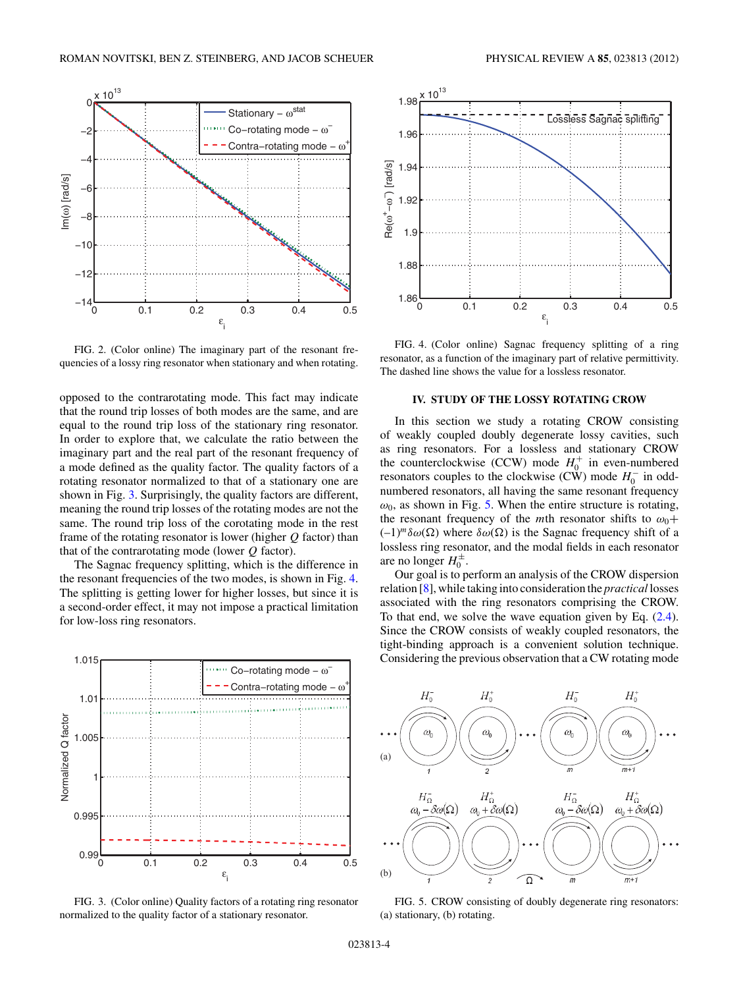<span id="page-3-0"></span>

FIG. 2. (Color online) The imaginary part of the resonant frequencies of a lossy ring resonator when stationary and when rotating.

opposed to the contrarotating mode. This fact may indicate that the round trip losses of both modes are the same, and are equal to the round trip loss of the stationary ring resonator. In order to explore that, we calculate the ratio between the imaginary part and the real part of the resonant frequency of a mode defined as the quality factor. The quality factors of a rotating resonator normalized to that of a stationary one are shown in Fig. 3. Surprisingly, the quality factors are different, meaning the round trip losses of the rotating modes are not the same. The round trip loss of the corotating mode in the rest frame of the rotating resonator is lower (higher *Q* factor) than that of the contrarotating mode (lower *Q* factor).

The Sagnac frequency splitting, which is the difference in the resonant frequencies of the two modes, is shown in Fig. 4. The splitting is getting lower for higher losses, but since it is a second-order effect, it may not impose a practical limitation for low-loss ring resonators.







FIG. 4. (Color online) Sagnac frequency splitting of a ring resonator, as a function of the imaginary part of relative permittivity. The dashed line shows the value for a lossless resonator.

#### **IV. STUDY OF THE LOSSY ROTATING CROW**

In this section we study a rotating CROW consisting of weakly coupled doubly degenerate lossy cavities, such as ring resonators. For a lossless and stationary CROW the counterclockwise (CCW) mode  $H_0^+$  in even-numbered resonators couples to the clockwise (CW) mode  $H_0^-$  in oddnumbered resonators, all having the same resonant frequency  $\omega_0$ , as shown in Fig. 5. When the entire structure is rotating, the resonant frequency of the *m*th resonator shifts to  $\omega_0$ +  $(-1)^{m} \delta \omega(\Omega)$  where  $\delta \omega(\Omega)$  is the Sagnac frequency shift of a lossless ring resonator, and the modal fields in each resonator are no longer  $H_0^{\pm}$ .

Our goal is to perform an analysis of the CROW dispersion relation [\[8\]](#page-6-0), while taking into consideration the *practical* losses associated with the ring resonators comprising the CROW. To that end, we solve the wave equation given by Eq. [\(2.4\)](#page-1-0). Since the CROW consists of weakly coupled resonators, the tight-binding approach is a convenient solution technique. Considering the previous observation that a CW rotating mode



FIG. 5. CROW consisting of doubly degenerate ring resonators: (a) stationary, (b) rotating.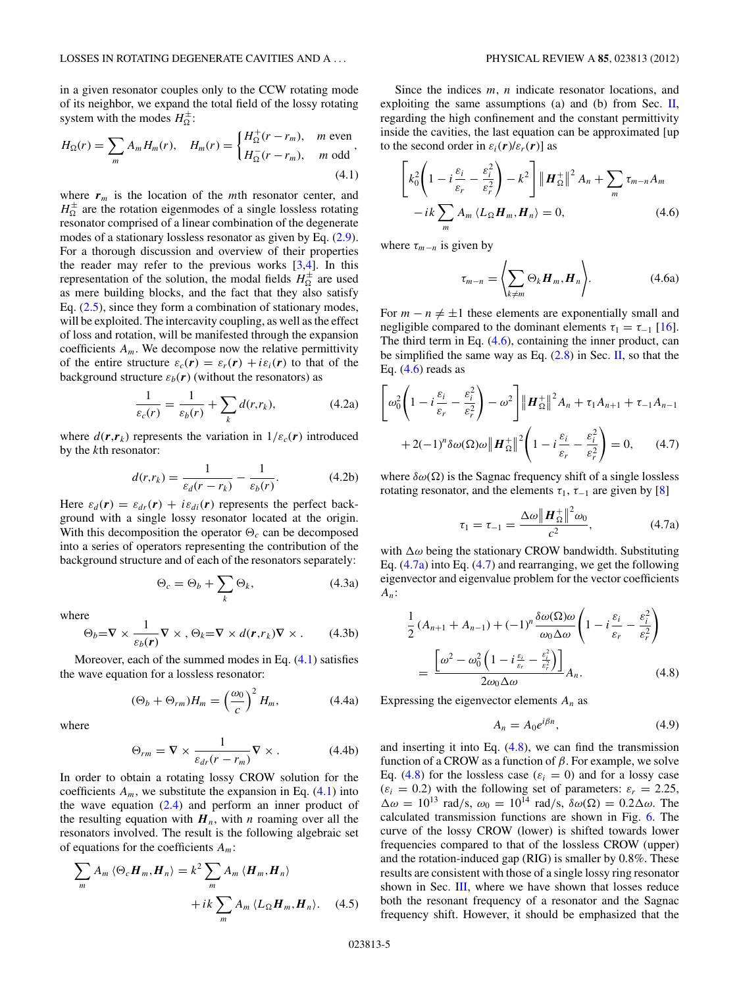<span id="page-4-0"></span>in a given resonator couples only to the CCW rotating mode of its neighbor, we expand the total field of the lossy rotating system with the modes  $H_{\Omega}^{\pm}$ :

$$
H_{\Omega}(r) = \sum_{m} A_{m} H_{m}(r), \quad H_{m}(r) = \begin{cases} H_{\Omega}^{+}(r - r_{m}), & m \text{ even} \\ H_{\Omega}^{-}(r - r_{m}), & m \text{ odd} \end{cases},
$$
\n(4.1)

where  $r_m$  is the location of the *m*th resonator center, and  $H_{\Omega}^{\pm}$  are the rotation eigenmodes of a single lossless rotating resonator comprised of a linear combination of the degenerate modes of a stationary lossless resonator as given by Eq. [\(2.9\)](#page-1-0). For a thorough discussion and overview of their properties the reader may refer to the previous works  $[3,4]$ . In this representation of the solution, the modal fields  $H_{\Omega}^{\pm}$  are used as mere building blocks, and the fact that they also satisfy Eq.  $(2.5)$ , since they form a combination of stationary modes, will be exploited. The intercavity coupling, as well as the effect of loss and rotation, will be manifested through the expansion coefficients  $A_m$ . We decompose now the relative permittivity of the entire structure  $\varepsilon_c(\mathbf{r}) = \varepsilon_r(\mathbf{r}) + i\varepsilon_i(\mathbf{r})$  to that of the background structure  $\varepsilon_b(\mathbf{r})$  (without the resonators) as

$$
\frac{1}{\varepsilon_c(r)} = \frac{1}{\varepsilon_b(r)} + \sum_k d(r, r_k),\tag{4.2a}
$$

where  $d(\mathbf{r}, \mathbf{r}_k)$  represents the variation in  $1/\varepsilon_c(\mathbf{r})$  introduced by the *k*th resonator:

$$
d(r,r_k) = \frac{1}{\varepsilon_d(r-r_k)} - \frac{1}{\varepsilon_b(r)}.\tag{4.2b}
$$

Here  $\varepsilon_d(\mathbf{r}) = \varepsilon_{dr}(\mathbf{r}) + i\varepsilon_{di}(\mathbf{r})$  represents the perfect background with a single lossy resonator located at the origin. With this decomposition the operator  $\Theta_c$  can be decomposed into a series of operators representing the contribution of the background structure and of each of the resonators separately:

$$
\Theta_c = \Theta_b + \sum_k \Theta_k, \tag{4.3a}
$$

where

$$
\Theta_b = \nabla \times \frac{1}{\varepsilon_b(\mathbf{r})} \nabla \times , \Theta_k = \nabla \times d(\mathbf{r}, r_k) \nabla \times . \qquad (4.3b)
$$

Moreover, each of the summed modes in Eq. (4.1) satisfies the wave equation for a lossless resonator:

$$
(\Theta_b + \Theta_{rm})H_m = \left(\frac{\omega_0}{c}\right)^2 H_m, \tag{4.4a}
$$

where

$$
\Theta_{rm} = \nabla \times \frac{1}{\varepsilon_{dr}(r - r_m)} \nabla \times . \tag{4.4b}
$$

In order to obtain a rotating lossy CROW solution for the coefficients  $A_m$ , we substitute the expansion in Eq.  $(4.1)$  into the wave equation  $(2.4)$  and perform an inner product of the resulting equation with  $H_n$ , with *n* roaming over all the resonators involved. The result is the following algebraic set of equations for the coefficients *Am*:

$$
\sum_{m} A_{m} \langle \Theta_{c} \boldsymbol{H}_{m}, \boldsymbol{H}_{n} \rangle = k^{2} \sum_{m} A_{m} \langle \boldsymbol{H}_{m}, \boldsymbol{H}_{n} \rangle
$$

$$
+ ik \sum_{m} A_{m} \langle L_{\Omega} \boldsymbol{H}_{m}, \boldsymbol{H}_{n} \rangle. \quad (4.5)
$$

Since the indices *m*, *n* indicate resonator locations, and exploiting the same assumptions (a) and (b) from Sec.  $II$ , regarding the high confinement and the constant permittivity inside the cavities, the last equation can be approximated [up to the second order in  $\varepsilon_i(\mathbf{r})/\varepsilon_r(\mathbf{r})$  as

$$
\left[k_0^2\left(1-i\frac{\varepsilon_i}{\varepsilon_r} - \frac{\varepsilon_i^2}{\varepsilon_r^2}\right) - k^2\right] \left\| \boldsymbol{H}_{\Omega}^+\right\|^2 A_n + \sum_m \tau_{m-n} A_m -ik \sum_m A_m \langle L_{\Omega} \boldsymbol{H}_m, \boldsymbol{H}_n \rangle = 0, \tag{4.6}
$$

where  $\tau_{m-n}$  is given by

$$
\tau_{m-n} = \left\langle \sum_{k \neq m} \Theta_k \boldsymbol{H}_m, \boldsymbol{H}_n \right\rangle. \tag{4.6a}
$$

For  $m - n \neq \pm 1$  these elements are exponentially small and negligible compared to the dominant elements  $\tau_1 = \tau_{-1}$  [\[16\]](#page-6-0). The third term in Eq. (4.6), containing the inner product, can be simplified the same way as Eq.  $(2.8)$  in Sec. [II,](#page-0-0) so that the Eq.  $(4.6)$  reads as

$$
\left[\omega_0^2 \left(1 - i\frac{\varepsilon_i}{\varepsilon_r} - \frac{\varepsilon_i^2}{\varepsilon_r^2}\right) - \omega^2\right] \|\boldsymbol{H}_{\Omega}^+\|^2 A_n + \tau_1 A_{n+1} + \tau_{-1} A_{n-1}
$$

$$
+ 2(-1)^n \delta \omega(\Omega) \omega \|\boldsymbol{H}_{\Omega}^+\|^2 \left(1 - i\frac{\varepsilon_i}{\varepsilon_r} - \frac{\varepsilon_i^2}{\varepsilon_r^2}\right) = 0, \qquad (4.7)
$$

where  $\delta\omega(\Omega)$  is the Sagnac frequency shift of a single lossless rotating resonator, and the elements  $\tau_1$ ,  $\tau_{-1}$  are given by [\[8\]](#page-6-0)

$$
\tau_1 = \tau_{-1} = \frac{\Delta \omega \| \bm{H}_{\Omega}^+ \|^2 \omega_0}{c^2}, \tag{4.7a}
$$

with  $\Delta\omega$  being the stationary CROW bandwidth. Substituting Eq.  $(4.7a)$  into Eq.  $(4.7)$  and rearranging, we get the following eigenvector and eigenvalue problem for the vector coefficients *An*:

$$
\frac{1}{2} (A_{n+1} + A_{n-1}) + (-1)^n \frac{\delta \omega(\Omega) \omega}{\omega_0 \Delta \omega} \left( 1 - i \frac{\varepsilon_i}{\varepsilon_r} - \frac{\varepsilon_i^2}{\varepsilon_r^2} \right)
$$
\n
$$
= \frac{\left[ \omega^2 - \omega_0^2 \left( 1 - i \frac{\varepsilon_i}{\varepsilon_r} - \frac{\varepsilon_i^2}{\varepsilon_r^2} \right) \right]}{2 \omega_0 \Delta \omega} A_n. \tag{4.8}
$$

Expressing the eigenvector elements *An* as

$$
A_n = A_0 e^{i\beta n}, \tag{4.9}
$$

and inserting it into Eq. (4.8), we can find the transmission function of a CROW as a function of *β*. For example, we solve Eq. (4.8) for the lossless case ( $\varepsilon_i = 0$ ) and for a lossy case  $(\varepsilon_i = 0.2)$  with the following set of parameters:  $\varepsilon_r = 2.25$ ,  $\Delta\omega = 10^{13}$  rad/s,  $\omega_0 = 10^{14}$  rad/s,  $\delta\omega(\Omega) = 0.2\Delta\omega$ . The calculated transmission functions are shown in Fig. [6.](#page-5-0) The curve of the lossy CROW (lower) is shifted towards lower frequencies compared to that of the lossless CROW (upper) and the rotation-induced gap (RIG) is smaller by 0.8%. These results are consistent with those of a single lossy ring resonator shown in Sec. [III,](#page-0-0) where we have shown that losses reduce both the resonant frequency of a resonator and the Sagnac frequency shift. However, it should be emphasized that the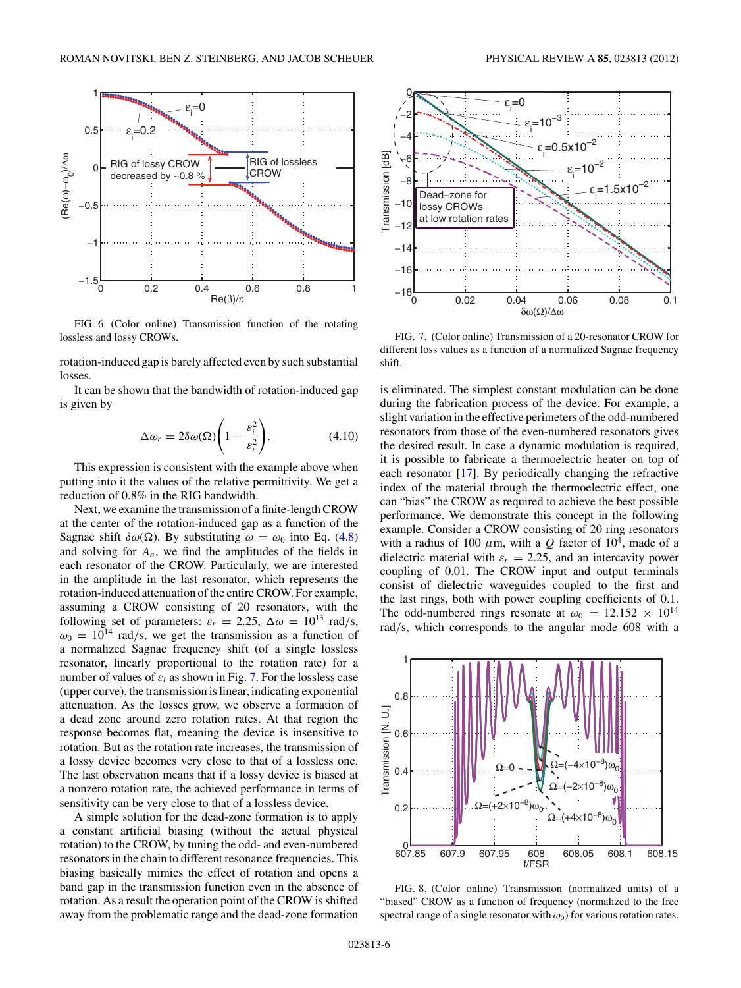<span id="page-5-0"></span>

FIG. 6. (Color online) Transmission function of the rotating lossless and lossy CROWs.

rotation-induced gap is barely affected even by such substantial losses.

It can be shown that the bandwidth of rotation-induced gap is given by

$$
\Delta \omega_r = 2\delta \omega(\Omega) \left( 1 - \frac{\varepsilon_i^2}{\varepsilon_r^2} \right). \tag{4.10}
$$

This expression is consistent with the example above when putting into it the values of the relative permittivity. We get a reduction of 0.8% in the RIG bandwidth.

Next, we examine the transmission of a finite-length CROW at the center of the rotation-induced gap as a function of the Sagnac shift  $\delta\omega(\Omega)$ . By substituting  $\omega = \omega_0$  into Eq. [\(4.8\)](#page-4-0) and solving for  $A_n$ , we find the amplitudes of the fields in each resonator of the CROW. Particularly, we are interested in the amplitude in the last resonator, which represents the rotation-induced attenuation of the entire CROW. For example, assuming a CROW consisting of 20 resonators, with the following set of parameters:  $\varepsilon_r = 2.25$ ,  $\Delta \omega = 10^{13}$  rad/s,  $\omega_0 = 10^{14}$  rad/s, we get the transmission as a function of a normalized Sagnac frequency shift (of a single lossless resonator, linearly proportional to the rotation rate) for a number of values of  $\varepsilon_i$  as shown in Fig. 7. For the lossless case (upper curve), the transmission is linear, indicating exponential attenuation. As the losses grow, we observe a formation of a dead zone around zero rotation rates. At that region the response becomes flat, meaning the device is insensitive to rotation. But as the rotation rate increases, the transmission of a lossy device becomes very close to that of a lossless one. The last observation means that if a lossy device is biased at a nonzero rotation rate, the achieved performance in terms of sensitivity can be very close to that of a lossless device.

A simple solution for the dead-zone formation is to apply a constant artificial biasing (without the actual physical rotation) to the CROW, by tuning the odd- and even-numbered resonators in the chain to different resonance frequencies. This biasing basically mimics the effect of rotation and opens a band gap in the transmission function even in the absence of rotation. As a result the operation point of the CROW is shifted away from the problematic range and the dead-zone formation



FIG. 7. (Color online) Transmission of a 20-resonator CROW for different loss values as a function of a normalized Sagnac frequency shift.

is eliminated. The simplest constant modulation can be done during the fabrication process of the device. For example, a slight variation in the effective perimeters of the odd-numbered resonators from those of the even-numbered resonators gives the desired result. In case a dynamic modulation is required, it is possible to fabricate a thermoelectric heater on top of each resonator [\[17\]](#page-6-0). By periodically changing the refractive index of the material through the thermoelectric effect, one can "bias" the CROW as required to achieve the best possible performance. We demonstrate this concept in the following example. Consider a CROW consisting of 20 ring resonators with a radius of 100  $\mu$ m, with a *Q* factor of 10<sup>4</sup>, made of a dielectric material with  $\varepsilon_r = 2.25$ , and an intercavity power coupling of 0.01. The CROW input and output terminals consist of dielectric waveguides coupled to the first and the last rings, both with power coupling coefficients of 0.1. The odd-numbered rings resonate at  $\omega_0 = 12.152 \times 10^{14}$ rad*/*s, which corresponds to the angular mode 608 with a



FIG. 8. (Color online) Transmission (normalized units) of a "biased" CROW as a function of frequency (normalized to the free spectral range of a single resonator with  $\omega_0$ ) for various rotation rates.